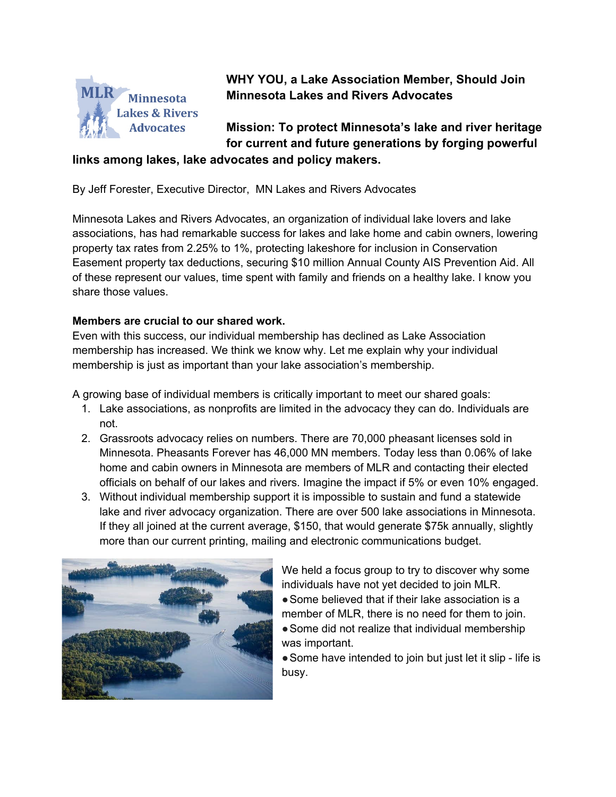

**WHY YOU, a Lake Association Member, Should Join Minnesota Lakes and Rivers Advocates**

**Mission: To protect Minnesota's lake and river heritage for current and future generations by forging powerful** 

# **links among lakes, lake advocates and policy makers.**

By Jeff Forester, Executive Director, MN Lakes and Rivers Advocates

Minnesota Lakes and Rivers Advocates, an organization of individual lake lovers and lake associations, has had remarkable success for lakes and lake home and cabin owners, lowering property tax rates from 2.25% to 1%, protecting lakeshore for inclusion in Conservation Easement property tax deductions, securing \$10 million Annual County AIS Prevention Aid. All of these represent our values, time spent with family and friends on a healthy lake. I know you share those values.

### **Members are crucial to our shared work.**

Even with this success, our individual membership has declined as Lake Association membership has increased. We think we know why. Let me explain why your individual membership is just as important than your lake association's membership.

A growing base of individual members is critically important to meet our shared goals:

- 1. Lake associations, as nonprofits are limited in the advocacy they can do. Individuals are not.
- 2. Grassroots advocacy relies on numbers. There are 70,000 pheasant licenses sold in Minnesota. Pheasants Forever has 46,000 MN members. Today less than 0.06% of lake home and cabin owners in Minnesota are members of MLR and contacting their elected officials on behalf of our lakes and rivers. Imagine the impact if 5% or even 10% engaged.
- 3. Without individual membership support it is impossible to sustain and fund a statewide lake and river advocacy organization. There are over 500 lake associations in Minnesota. If they all joined at the current average, \$150, that would generate \$75k annually, slightly more than our current printing, mailing and electronic communications budget.



We held a focus group to try to discover why some individuals have not yet decided to join MLR. • Some believed that if their lake association is a member of MLR, there is no need for them to join. • Some did not realize that individual membership was important.

●Some have intended to join but just let it slip - life is busy.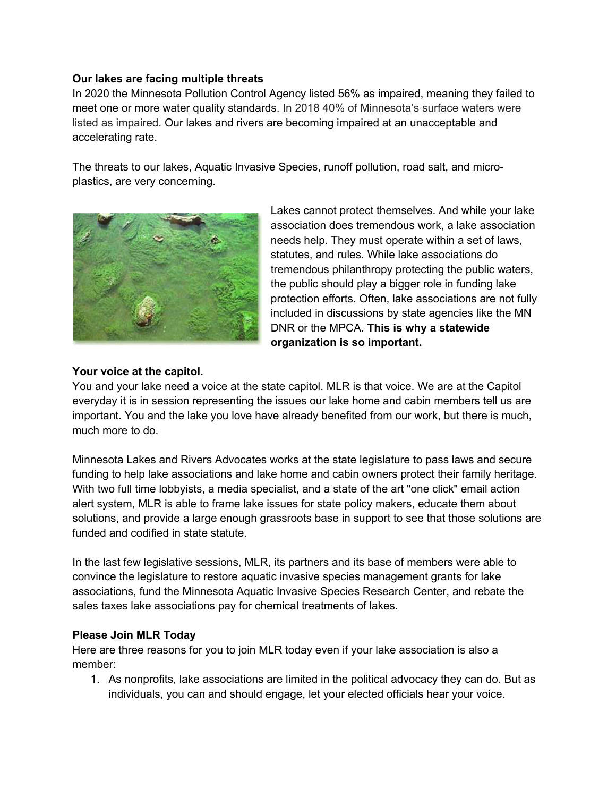### **Our lakes are facing multiple threats**

In 2020 the Minnesota Pollution Control Agency listed 56% as impaired, meaning they failed to meet one or more water quality standards. In 2018 40% of Minnesota's surface waters were listed as impaired. Our lakes and rivers are becoming impaired at an unacceptable and accelerating rate.

The threats to our lakes, Aquatic Invasive Species, runoff pollution, road salt, and microplastics, are very concerning.



Lakes cannot protect themselves. And while your lake association does tremendous work, a lake association needs help. They must operate within a set of laws, statutes, and rules. While lake associations do tremendous philanthropy protecting the public waters, the public should play a bigger role in funding lake protection efforts. Often, lake associations are not fully included in discussions by state agencies like the MN DNR or the MPCA. **This is why a statewide organization is so important.** 

### **Your voice at the capitol.**

You and your lake need a voice at the state capitol. MLR is that voice. We are at the Capitol everyday it is in session representing the issues our lake home and cabin members tell us are important. You and the lake you love have already benefited from our work, but there is much, much more to do.

Minnesota Lakes and Rivers Advocates works at the state legislature to pass laws and secure funding to help lake associations and lake home and cabin owners protect their family heritage. With two full time lobbyists, a media specialist, and a state of the art "one click" email action alert system, MLR is able to frame lake issues for state policy makers, educate them about solutions, and provide a large enough grassroots base in support to see that those solutions are funded and codified in state statute.

In the last few legislative sessions, MLR, its partners and its base of members were able to convince the legislature to restore aquatic invasive species management grants for lake associations, fund the Minnesota Aquatic Invasive Species Research Center, and rebate the sales taxes lake associations pay for chemical treatments of lakes.

#### **Please Join MLR Today**

Here are three reasons for you to join MLR today even if your lake association is also a member:

1. As nonprofits, lake associations are limited in the political advocacy they can do. But as individuals, you can and should engage, let your elected officials hear your voice.